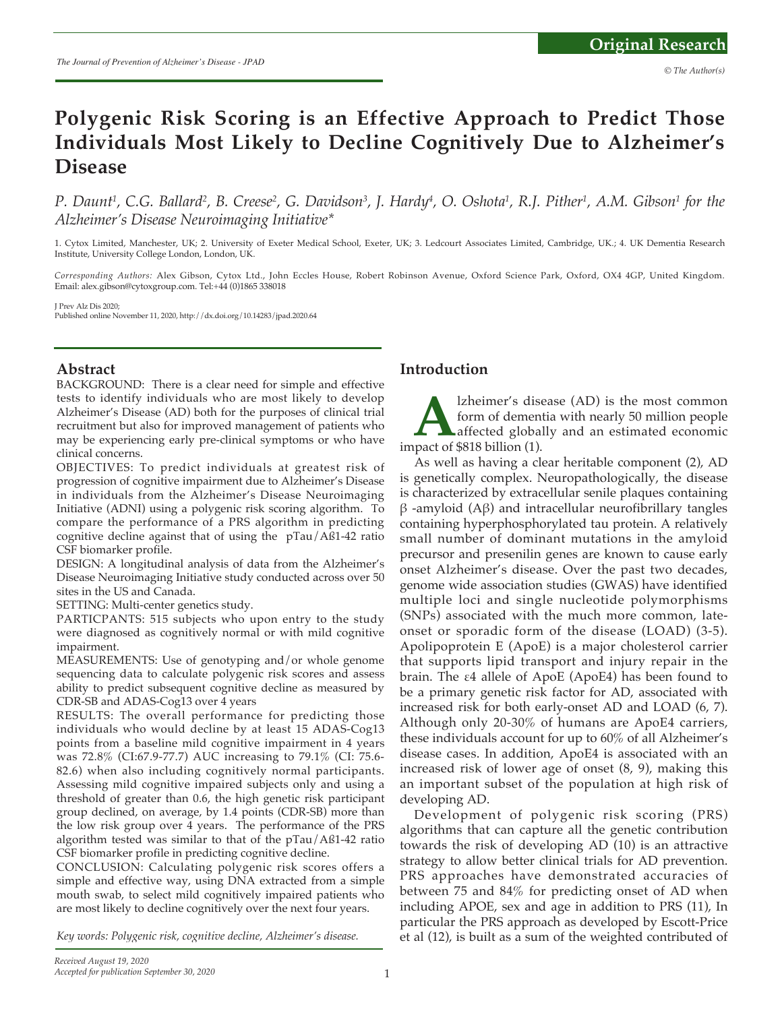# **Polygenic Risk Scoring is an Effective Approach to Predict Those Individuals Most Likely to Decline Cognitively Due to Alzheimer's Disease**

*P. Daunt<sup>1</sup>, C.G. Ballard<sup>2</sup>, B. Creese<sup>2</sup>, G. Davidson<sup>3</sup>, J. Hardy<sup>4</sup>, O. Oshota<sup>1</sup>, R.J. Pither<sup>1</sup>, A.M. Gibson<sup>1</sup> for the Alzheimer's Disease Neuroimaging Initiative\**

1. Cytox Limited, Manchester, UK; 2. University of Exeter Medical School, Exeter, UK; 3. Ledcourt Associates Limited, Cambridge, UK.; 4. UK Dementia Research Institute, University College London, London, UK.

*Corresponding Authors:* Alex Gibson, Cytox Ltd., John Eccles House, Robert Robinson Avenue, Oxford Science Park, Oxford, OX4 4GP, United Kingdom. Email: alex.gibson@cytoxgroup.com. Tel:+44 (0)1865 338018

J Prev Alz Dis 2020;

Published online November 11, 2020, http://dx.doi.org/10.14283/jpad.2020.64

### **Abstract**

BACKGROUND: There is a clear need for simple and effective tests to identify individuals who are most likely to develop Alzheimer's Disease (AD) both for the purposes of clinical trial recruitment but also for improved management of patients who may be experiencing early pre-clinical symptoms or who have clinical concerns.

OBJECTIVES: To predict individuals at greatest risk of progression of cognitive impairment due to Alzheimer's Disease in individuals from the Alzheimer's Disease Neuroimaging Initiative (ADNI) using a polygenic risk scoring algorithm. To compare the performance of a PRS algorithm in predicting cognitive decline against that of using the pTau/Aß1-42 ratio CSF biomarker profile.

DESIGN: A longitudinal analysis of data from the Alzheimer's Disease Neuroimaging Initiative study conducted across over 50 sites in the US and Canada.

SETTING: Multi-center genetics study.

PARTICPANTS: 515 subjects who upon entry to the study were diagnosed as cognitively normal or with mild cognitive impairment.

MEASUREMENTS: Use of genotyping and/or whole genome sequencing data to calculate polygenic risk scores and assess ability to predict subsequent cognitive decline as measured by CDR-SB and ADAS-Cog13 over 4 years

RESULTS: The overall performance for predicting those individuals who would decline by at least 15 ADAS-Cog13 points from a baseline mild cognitive impairment in 4 years was 72.8% (CI:67.9-77.7) AUC increasing to 79.1% (CI: 75.6- 82.6) when also including cognitively normal participants. Assessing mild cognitive impaired subjects only and using a threshold of greater than 0.6, the high genetic risk participant group declined, on average, by 1.4 points (CDR-SB) more than the low risk group over 4 years. The performance of the PRS algorithm tested was similar to that of the pTau/Aß1-42 ratio CSF biomarker profile in predicting cognitive decline.

CONCLUSION: Calculating polygenic risk scores offers a simple and effective way, using DNA extracted from a simple mouth swab, to select mild cognitively impaired patients who are most likely to decline cognitively over the next four years.

*Key words: Polygenic risk, cognitive decline, Alzheimer's disease.*

## **Introduction**

**A** lzheimer's disease (AD) is the most common form of dementia with nearly 50 million people affected globally and an estimated economic pact of \$818 billion (1). form of dementia with nearly 50 million people affected globally and an estimated economic impact of \$818 billion (1).

As well as having a clear heritable component (2), AD is genetically complex. Neuropathologically, the disease is characterized by extracellular senile plaques containing β -amyloid (Aβ) and intracellular neurofibrillary tangles containing hyperphosphorylated tau protein. A relatively small number of dominant mutations in the amyloid precursor and presenilin genes are known to cause early onset Alzheimer's disease. Over the past two decades, genome wide association studies (GWAS) have identified multiple loci and single nucleotide polymorphisms (SNPs) associated with the much more common, lateonset or sporadic form of the disease (LOAD) (3-5). Apolipoprotein E (ApoE) is a major cholesterol carrier that supports lipid transport and injury repair in the brain. The ε4 allele of ApoE (ApoE4) has been found to be a primary genetic risk factor for AD, associated with increased risk for both early-onset AD and LOAD (6, 7). Although only 20-30% of humans are ApoE4 carriers, these individuals account for up to 60% of all Alzheimer's disease cases. In addition, ApoE4 is associated with an increased risk of lower age of onset (8, 9), making this an important subset of the population at high risk of developing AD.

Development of polygenic risk scoring (PRS) algorithms that can capture all the genetic contribution towards the risk of developing AD (10) is an attractive strategy to allow better clinical trials for AD prevention. PRS approaches have demonstrated accuracies of between 75 and 84% for predicting onset of AD when including APOE, sex and age in addition to PRS (11), In particular the PRS approach as developed by Escott-Price et al (12), is built as a sum of the weighted contributed of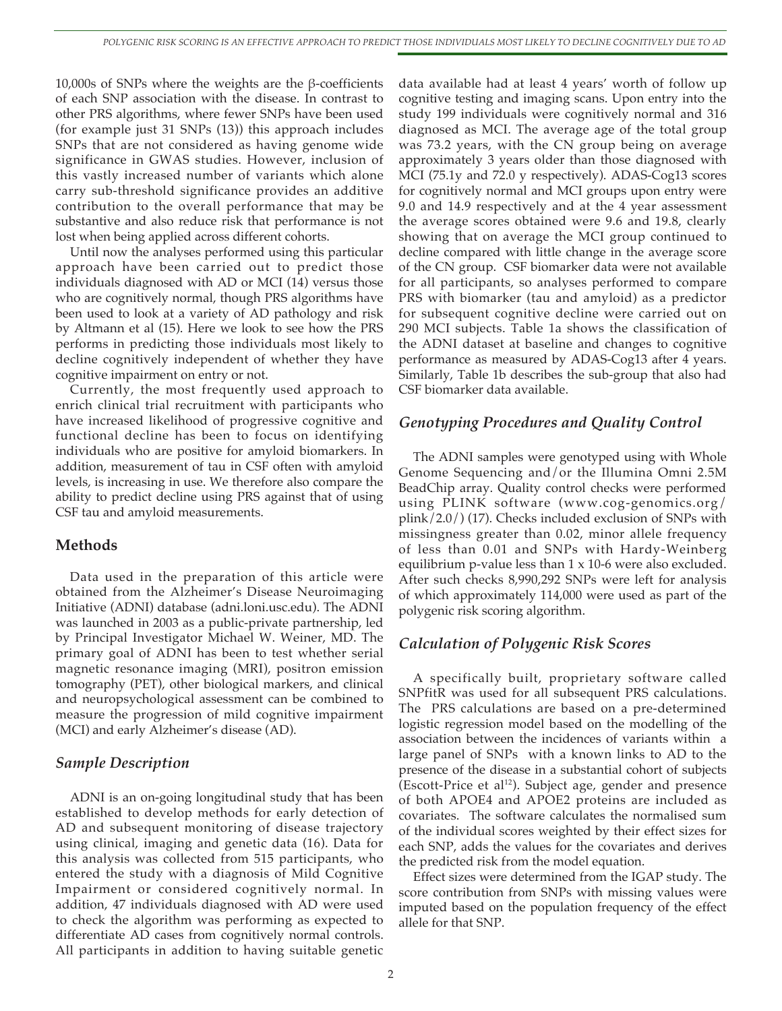10,000s of SNPs where the weights are the β-coefficients of each SNP association with the disease. In contrast to other PRS algorithms, where fewer SNPs have been used (for example just 31 SNPs (13)) this approach includes SNPs that are not considered as having genome wide significance in GWAS studies. However, inclusion of this vastly increased number of variants which alone carry sub-threshold significance provides an additive contribution to the overall performance that may be substantive and also reduce risk that performance is not lost when being applied across different cohorts.

Until now the analyses performed using this particular approach have been carried out to predict those individuals diagnosed with AD or MCI (14) versus those who are cognitively normal, though PRS algorithms have been used to look at a variety of AD pathology and risk by Altmann et al (15). Here we look to see how the PRS performs in predicting those individuals most likely to decline cognitively independent of whether they have cognitive impairment on entry or not.

Currently, the most frequently used approach to enrich clinical trial recruitment with participants who have increased likelihood of progressive cognitive and functional decline has been to focus on identifying individuals who are positive for amyloid biomarkers. In addition, measurement of tau in CSF often with amyloid levels, is increasing in use. We therefore also compare the ability to predict decline using PRS against that of using CSF tau and amyloid measurements.

## **Methods**

Data used in the preparation of this article were obtained from the Alzheimer's Disease Neuroimaging Initiative (ADNI) database (adni.loni.usc.edu). The ADNI was launched in 2003 as a public-private partnership, led by Principal Investigator Michael W. Weiner, MD. The primary goal of ADNI has been to test whether serial magnetic resonance imaging (MRI), positron emission tomography (PET), other biological markers, and clinical and neuropsychological assessment can be combined to measure the progression of mild cognitive impairment (MCI) and early Alzheimer's disease (AD).

# *Sample Description*

ADNI is an on-going longitudinal study that has been established to develop methods for early detection of AD and subsequent monitoring of disease trajectory using clinical, imaging and genetic data (16). Data for this analysis was collected from 515 participants, who entered the study with a diagnosis of Mild Cognitive Impairment or considered cognitively normal. In addition, 47 individuals diagnosed with AD were used to check the algorithm was performing as expected to differentiate AD cases from cognitively normal controls. All participants in addition to having suitable genetic

data available had at least 4 years' worth of follow up cognitive testing and imaging scans. Upon entry into the study 199 individuals were cognitively normal and 316 diagnosed as MCI. The average age of the total group was 73.2 years, with the CN group being on average approximately 3 years older than those diagnosed with MCI (75.1y and 72.0 y respectively). ADAS-Cog13 scores for cognitively normal and MCI groups upon entry were 9.0 and 14.9 respectively and at the 4 year assessment the average scores obtained were 9.6 and 19.8, clearly showing that on average the MCI group continued to decline compared with little change in the average score of the CN group. CSF biomarker data were not available for all participants, so analyses performed to compare PRS with biomarker (tau and amyloid) as a predictor for subsequent cognitive decline were carried out on 290 MCI subjects. Table 1a shows the classification of the ADNI dataset at baseline and changes to cognitive performance as measured by ADAS-Cog13 after 4 years. Similarly, Table 1b describes the sub-group that also had CSF biomarker data available.

## *Genotyping Procedures and Quality Control*

The ADNI samples were genotyped using with Whole Genome Sequencing and/or the Illumina Omni 2.5M BeadChip array. Quality control checks were performed using PLINK software (www.cog-genomics.org/ plink/2.0/) (17). Checks included exclusion of SNPs with missingness greater than 0.02, minor allele frequency of less than 0.01 and SNPs with Hardy-Weinberg equilibrium p-value less than 1 x 10-6 were also excluded. After such checks 8,990,292 SNPs were left for analysis of which approximately 114,000 were used as part of the polygenic risk scoring algorithm.

# *Calculation of Polygenic Risk Scores*

A specifically built, proprietary software called SNPfitR was used for all subsequent PRS calculations. The PRS calculations are based on a pre-determined logistic regression model based on the modelling of the association between the incidences of variants within a large panel of SNPs with a known links to AD to the presence of the disease in a substantial cohort of subjects (Escott-Price et al<sup>12</sup>). Subject age, gender and presence of both APOE4 and APOE2 proteins are included as covariates. The software calculates the normalised sum of the individual scores weighted by their effect sizes for each SNP, adds the values for the covariates and derives the predicted risk from the model equation.

Effect sizes were determined from the IGAP study. The score contribution from SNPs with missing values were imputed based on the population frequency of the effect allele for that SNP.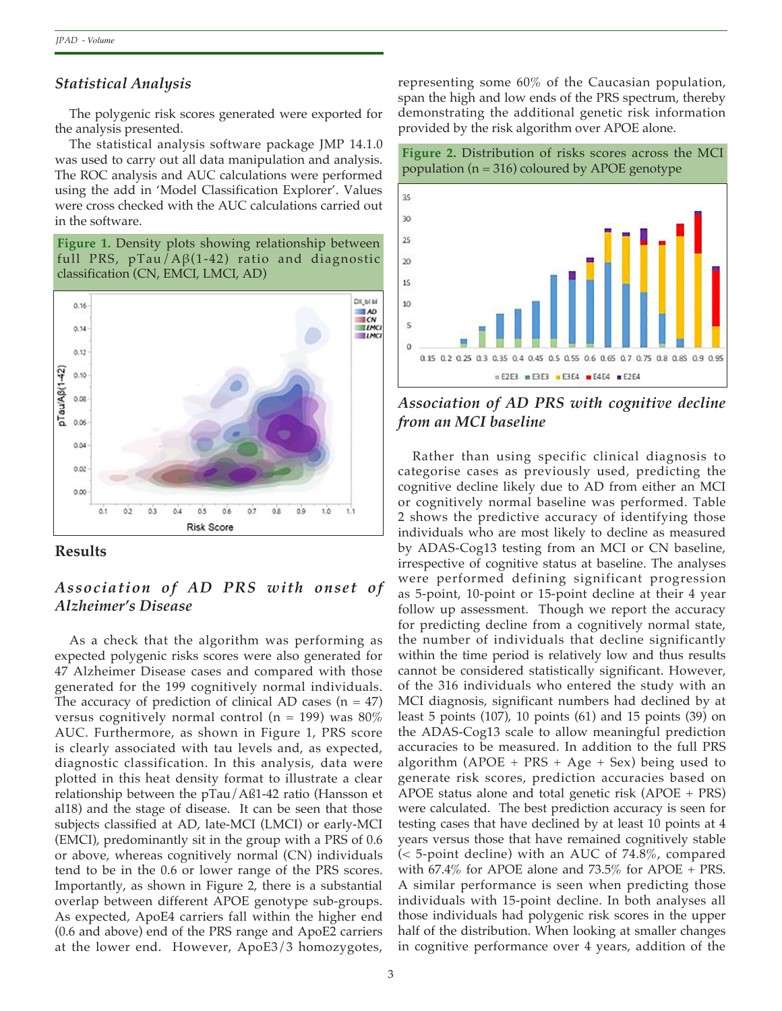## *Statistical Analysis*

The polygenic risk scores generated were exported for the analysis presented.

The statistical analysis software package JMP 14.1.0 was used to carry out all data manipulation and analysis. The ROC analysis and AUC calculations were performed using the add in 'Model Classification Explorer'. Values were cross checked with the AUC calculations carried out in the software.

**Figure 1.** Density plots showing relationship between full PRS, pTau/Aβ(1-42) ratio and diagnostic classification (CN, EMCI, LMCI, AD)





# *Association of AD PRS with onset of Alzheimer's Disease*

As a check that the algorithm was performing as expected polygenic risks scores were also generated for 47 Alzheimer Disease cases and compared with those generated for the 199 cognitively normal individuals. The accuracy of prediction of clinical AD cases  $(n = 47)$ versus cognitively normal control ( $n = 199$ ) was 80% AUC. Furthermore, as shown in Figure 1, PRS score is clearly associated with tau levels and, as expected, diagnostic classification. In this analysis, data were plotted in this heat density format to illustrate a clear relationship between the pTau/Aß1-42 ratio (Hansson et al18) and the stage of disease. It can be seen that those subjects classified at AD, late-MCI (LMCI) or early-MCI (EMCI), predominantly sit in the group with a PRS of 0.6 or above, whereas cognitively normal (CN) individuals tend to be in the 0.6 or lower range of the PRS scores. Importantly, as shown in Figure 2, there is a substantial overlap between different APOE genotype sub-groups. As expected, ApoE4 carriers fall within the higher end (0.6 and above) end of the PRS range and ApoE2 carriers at the lower end. However, ApoE3/3 homozygotes,

representing some 60% of the Caucasian population, span the high and low ends of the PRS spectrum, thereby demonstrating the additional genetic risk information provided by the risk algorithm over APOE alone.





*Association of AD PRS with cognitive decline from an MCI baseline*

Rather than using specific clinical diagnosis to categorise cases as previously used, predicting the cognitive decline likely due to AD from either an MCI or cognitively normal baseline was performed. Table 2 shows the predictive accuracy of identifying those individuals who are most likely to decline as measured by ADAS-Cog13 testing from an MCI or CN baseline, irrespective of cognitive status at baseline. The analyses were performed defining significant progression as 5-point, 10-point or 15-point decline at their 4 year follow up assessment. Though we report the accuracy for predicting decline from a cognitively normal state, the number of individuals that decline significantly within the time period is relatively low and thus results cannot be considered statistically significant. However, of the 316 individuals who entered the study with an MCI diagnosis, significant numbers had declined by at least 5 points (107), 10 points (61) and 15 points (39) on the ADAS-Cog13 scale to allow meaningful prediction accuracies to be measured. In addition to the full PRS algorithm (APOE + PRS + Age + Sex) being used to generate risk scores, prediction accuracies based on APOE status alone and total genetic risk (APOE + PRS) were calculated. The best prediction accuracy is seen for testing cases that have declined by at least 10 points at 4 years versus those that have remained cognitively stable (< 5-point decline) with an AUC of 74.8%, compared with 67.4% for APOE alone and 73.5% for APOE + PRS. A similar performance is seen when predicting those individuals with 15-point decline. In both analyses all those individuals had polygenic risk scores in the upper half of the distribution. When looking at smaller changes in cognitive performance over 4 years, addition of the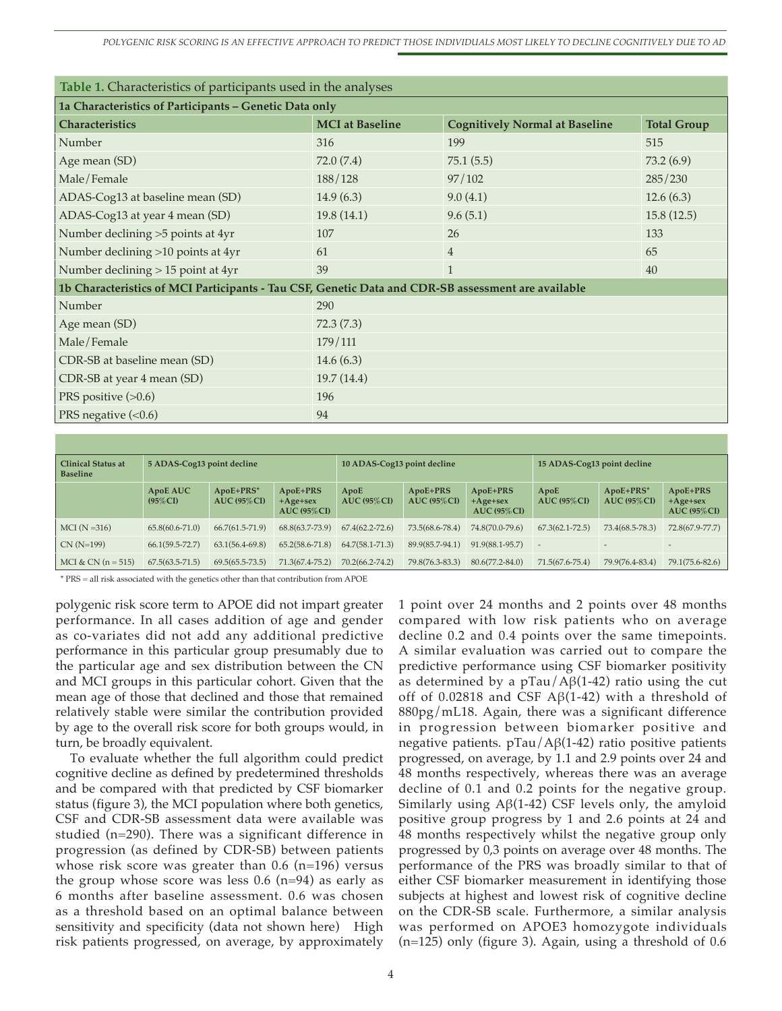| <b>Table 1.</b> Characteristics of participants used in the analyses                               |                        |                                       |                    |  |  |  |  |  |  |
|----------------------------------------------------------------------------------------------------|------------------------|---------------------------------------|--------------------|--|--|--|--|--|--|
| 1a Characteristics of Participants - Genetic Data only                                             |                        |                                       |                    |  |  |  |  |  |  |
| <b>Characteristics</b>                                                                             | <b>MCI</b> at Baseline | <b>Cognitively Normal at Baseline</b> | <b>Total Group</b> |  |  |  |  |  |  |
| Number                                                                                             | 316                    | 199                                   | 515                |  |  |  |  |  |  |
| Age mean (SD)                                                                                      | 72.0 (7.4)             | 75.1(5.5)                             | 73.2(6.9)          |  |  |  |  |  |  |
| Male/Female                                                                                        | 188/128                | 97/102                                | 285/230            |  |  |  |  |  |  |
| ADAS-Cog13 at baseline mean (SD)                                                                   | 14.9(6.3)              | 9.0(4.1)                              | 12.6(6.3)          |  |  |  |  |  |  |
| ADAS-Cog13 at year 4 mean (SD)                                                                     | 19.8(14.1)             | 9.6(5.1)                              | 15.8(12.5)         |  |  |  |  |  |  |
| Number declining >5 points at 4yr                                                                  | 107                    | 26                                    | 133                |  |  |  |  |  |  |
| Number declining >10 points at 4yr                                                                 | 61                     | $\overline{4}$                        | 65                 |  |  |  |  |  |  |
| Number declining > 15 point at 4yr                                                                 | 39                     | 1                                     | 40                 |  |  |  |  |  |  |
| 1b Characteristics of MCI Participants - Tau CSF, Genetic Data and CDR-SB assessment are available |                        |                                       |                    |  |  |  |  |  |  |
| Number                                                                                             | 290                    |                                       |                    |  |  |  |  |  |  |
| Age mean (SD)                                                                                      | 72.3(7.3)              |                                       |                    |  |  |  |  |  |  |
| Male/Female                                                                                        | 179/111                |                                       |                    |  |  |  |  |  |  |
| CDR-SB at baseline mean (SD)                                                                       | 14.6 $(6.3)$           |                                       |                    |  |  |  |  |  |  |
| CDR-SB at year 4 mean (SD)                                                                         | 19.7(14.4)             |                                       |                    |  |  |  |  |  |  |
| PRS positive $(>0.6)$                                                                              | 196                    |                                       |                    |  |  |  |  |  |  |
| PRS negative $(<0.6)$                                                                              | 94                     |                                       |                    |  |  |  |  |  |  |

| Clinical Status at<br><b>Baseline</b> | 5 ADAS-Cog13 point decline |                            | 10 ADAS-Cog13 point decline              |                         |                           | 15 ADAS-Cog13 point decline             |                       |                              |                                           |
|---------------------------------------|----------------------------|----------------------------|------------------------------------------|-------------------------|---------------------------|-----------------------------------------|-----------------------|------------------------------|-------------------------------------------|
|                                       | ApoE AUC<br>$(95\%CI)$     | ApoE+PRS*<br>$AUC$ (95%CI) | ApoE+PRS<br>$+A$ ge+sex<br>$AUC$ (95%CI) | ApoE<br>AUC $(95\%$ CI) | ApoE+PRS<br>$AUC$ (95%CI) | ApoE+PRS<br>$+Age+sex$<br>$AUC$ (95%CI) | ApoE<br>$AUC$ (95%CI) | $ApoE+PRS*$<br>$AUC$ (95%CI) | ApoE+PRS<br>$+A$ ge+sex<br>$AUC$ (95% CI) |
| MCI (N = 316)                         | $65.8(60.6 - 71.0)$        | $66.7(61.5-71.9)$          | 68.8(63.7-73.9)                          | $67.4(62.2 - 72.6)$     | 73.5(68.6-78.4)           | 74.8(70.0-79.6)                         | $67.3(62.1 - 72.5)$   | 73.4(68.5-78.3)              | 72.8(67.9-77.7)                           |
| $CN(N=199)$                           | $66.1(59.5 - 72.7)$        | $63.1(56.4-69.8)$          | $65.2(58.6 - 71.8)$                      | $64.7(58.1 - 71.3)$     | 89.9(85.7-94.1)           | 91.9(88.1-95.7)                         |                       |                              | $\overline{a}$                            |
| MCI & CN $(n = 515)$                  | $67.5(63.5-71.5)$          | $69.5(65.5 - 73.5)$        | 71.3(67.4-75.2)                          | 70.2(66.2-74.2)         | 79.8(76.3-83.3)           | $80.6(77.2 - 84.0)$                     | 71.5(67.6-75.4)       | 79.9(76.4-83.4)              | 79.1(75.6-82.6)                           |

\* PRS = all risk associated with the genetics other than that contribution from APOE

polygenic risk score term to APOE did not impart greater performance. In all cases addition of age and gender as co-variates did not add any additional predictive performance in this particular group presumably due to the particular age and sex distribution between the CN and MCI groups in this particular cohort. Given that the mean age of those that declined and those that remained relatively stable were similar the contribution provided by age to the overall risk score for both groups would, in turn, be broadly equivalent.

To evaluate whether the full algorithm could predict cognitive decline as defined by predetermined thresholds and be compared with that predicted by CSF biomarker status (figure 3), the MCI population where both genetics, CSF and CDR-SB assessment data were available was studied (n=290). There was a significant difference in progression (as defined by CDR-SB) between patients whose risk score was greater than  $0.6$  (n=196) versus the group whose score was less  $0.6$  (n=94) as early as 6 months after baseline assessment. 0.6 was chosen as a threshold based on an optimal balance between sensitivity and specificity (data not shown here) High risk patients progressed, on average, by approximately

1 point over 24 months and 2 points over 48 months compared with low risk patients who on average decline 0.2 and 0.4 points over the same timepoints. A similar evaluation was carried out to compare the predictive performance using CSF biomarker positivity as determined by a  $pTau/AG(1-42)$  ratio using the cut off of 0.02818 and CSF  $\mathcal{AB}(1-42)$  with a threshold of 880pg/mL18. Again, there was a significant difference in progression between biomarker positive and negative patients. pTau/Aβ(1-42) ratio positive patients progressed, on average, by 1.1 and 2.9 points over 24 and 48 months respectively, whereas there was an average decline of 0.1 and 0.2 points for the negative group. Similarly using  $A\beta(1-42)$  CSF levels only, the amyloid positive group progress by 1 and 2.6 points at 24 and 48 months respectively whilst the negative group only progressed by 0,3 points on average over 48 months. The performance of the PRS was broadly similar to that of either CSF biomarker measurement in identifying those subjects at highest and lowest risk of cognitive decline on the CDR-SB scale. Furthermore, a similar analysis was performed on APOE3 homozygote individuals (n=125) only (figure 3). Again, using a threshold of 0.6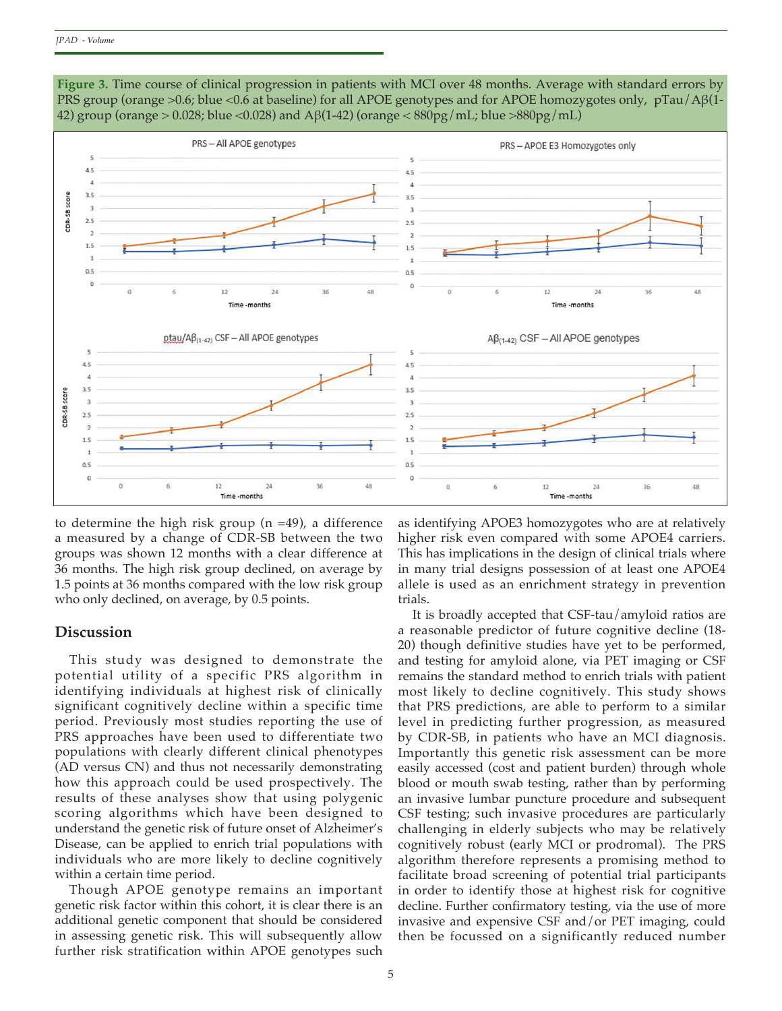

**Figure 3.** Time course of clinical progression in patients with MCI over 48 months. Average with standard errors by PRS group (orange >0.6; blue <0.6 at baseline) for all APOE genotypes and for APOE homozygotes only, pTau/Aβ(1- 42) group (orange > 0.028; blue <0.028) and A $\beta$ (1-42) (orange < 880pg/mL; blue >880pg/mL)

to determine the high risk group (n =49), a difference a measured by a change of CDR-SB between the two groups was shown 12 months with a clear difference at 36 months. The high risk group declined, on average by 1.5 points at 36 months compared with the low risk group who only declined, on average, by 0.5 points.

#### **Discussion**

This study was designed to demonstrate the potential utility of a specific PRS algorithm in identifying individuals at highest risk of clinically significant cognitively decline within a specific time period. Previously most studies reporting the use of PRS approaches have been used to differentiate two populations with clearly different clinical phenotypes (AD versus CN) and thus not necessarily demonstrating how this approach could be used prospectively. The results of these analyses show that using polygenic scoring algorithms which have been designed to understand the genetic risk of future onset of Alzheimer's Disease, can be applied to enrich trial populations with individuals who are more likely to decline cognitively within a certain time period.

Though APOE genotype remains an important genetic risk factor within this cohort, it is clear there is an additional genetic component that should be considered in assessing genetic risk. This will subsequently allow further risk stratification within APOE genotypes such

as identifying APOE3 homozygotes who are at relatively higher risk even compared with some APOE4 carriers. This has implications in the design of clinical trials where in many trial designs possession of at least one APOE4 allele is used as an enrichment strategy in prevention trials.

It is broadly accepted that CSF-tau/amyloid ratios are a reasonable predictor of future cognitive decline (18- 20) though definitive studies have yet to be performed, and testing for amyloid alone, via PET imaging or CSF remains the standard method to enrich trials with patient most likely to decline cognitively. This study shows that PRS predictions, are able to perform to a similar level in predicting further progression, as measured by CDR-SB, in patients who have an MCI diagnosis. Importantly this genetic risk assessment can be more easily accessed (cost and patient burden) through whole blood or mouth swab testing, rather than by performing an invasive lumbar puncture procedure and subsequent CSF testing; such invasive procedures are particularly challenging in elderly subjects who may be relatively cognitively robust (early MCI or prodromal). The PRS algorithm therefore represents a promising method to facilitate broad screening of potential trial participants in order to identify those at highest risk for cognitive decline. Further confirmatory testing, via the use of more invasive and expensive CSF and/or PET imaging, could then be focussed on a significantly reduced number